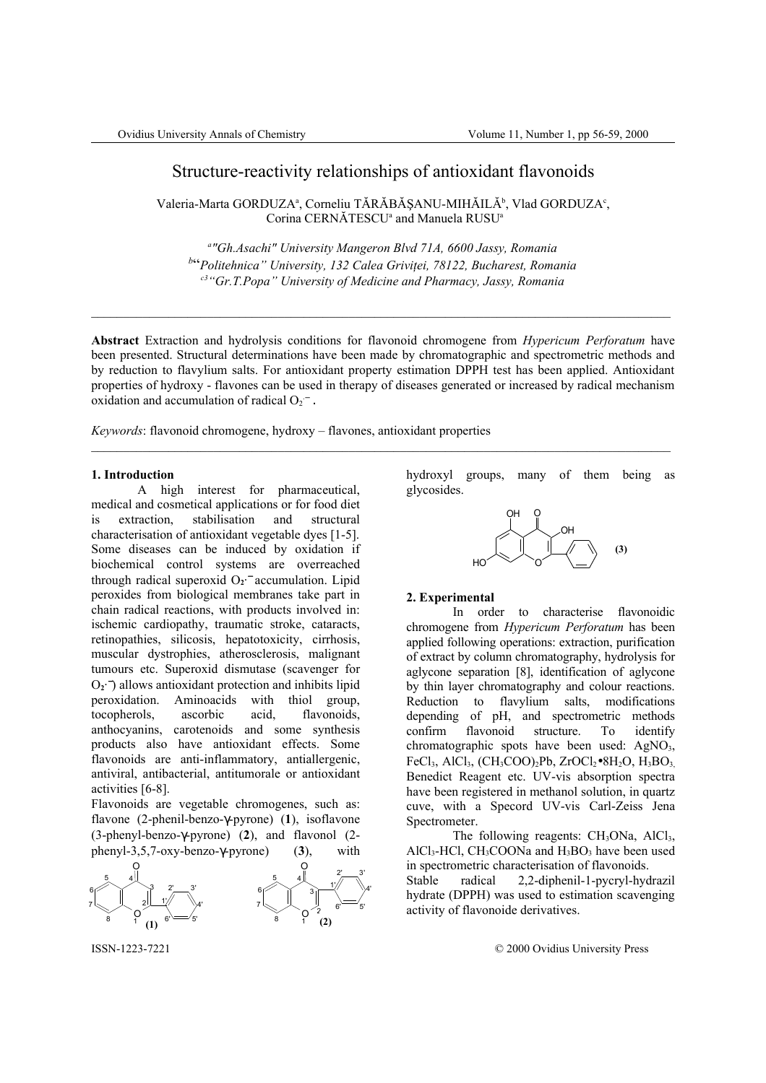# Structure-reactivity relationships of antioxidant flavonoids

Valeria-Marta GORDUZA<sup>a</sup>, Corneliu TĂRĂBĂȘANU-MIHĂILĂ<sup>b</sup>, Vlad GORDUZA<sup>c</sup>, Corina CERNĂTESCU<sup>a</sup> and Manuela RUSU<sup>a</sup>

*a "Gh.Asachi" University Mangeron Blvd 71A, 6600 Jassy, Romania b* "*Politehnica" University, 132 Calea Griviţei, 78122, Bucharest, Romania c3"Gr.T.Popa" University of Medicine and Pharmacy, Jassy, Romania*

**Abstract** Extraction and hydrolysis conditions for flavonoid chromogene from *Hypericum Perforatum* have been presented. Structural determinations have been made by chromatographic and spectrometric methods and by reduction to flavylium salts. For antioxidant property estimation DPPH test has been applied. Antioxidant properties of hydroxy - flavones can be used in therapy of diseases generated or increased by radical mechanism oxidation and accumulation of radical  $O_2^-$ .

 $\mathcal{L}_\mathcal{L} = \{ \mathcal{L}_\mathcal{L} = \{ \mathcal{L}_\mathcal{L} = \{ \mathcal{L}_\mathcal{L} = \{ \mathcal{L}_\mathcal{L} = \{ \mathcal{L}_\mathcal{L} = \{ \mathcal{L}_\mathcal{L} = \{ \mathcal{L}_\mathcal{L} = \{ \mathcal{L}_\mathcal{L} = \{ \mathcal{L}_\mathcal{L} = \{ \mathcal{L}_\mathcal{L} = \{ \mathcal{L}_\mathcal{L} = \{ \mathcal{L}_\mathcal{L} = \{ \mathcal{L}_\mathcal{L} = \{ \mathcal{L}_\mathcal{$ 

*Keywords*: flavonoid chromogene, hydroxy – flavones, antioxidant properties

#### **1. Introduction**

A high interest for pharmaceutical, medical and cosmetical applications or for food diet is extraction, stabilisation and structural characterisation of antioxidant vegetable dyes [1-5]. Some diseases can be induced by oxidation if biochemical control systems are overreached through radical superoxid  $O_2$ <sup>-</sup> accumulation. Lipid peroxides from biological membranes take part in chain radical reactions, with products involved in: ischemic cardiopathy, traumatic stroke, cataracts, retinopathies, silicosis, hepatotoxicity, cirrhosis, muscular dystrophies, atherosclerosis, malignant tumours etc. Superoxid dismutase (scavenger for O<sub>2</sub><sup>-−</sup>) allows antioxidant protection and inhibits lipid peroxidation. Aminoacids with thiol group, tocopherols, ascorbic acid, flavonoids, anthocyanins, carotenoids and some synthesis products also have antioxidant effects. Some flavonoids are anti-inflammatory, antiallergenic, antiviral, antibacterial, antitumorale or antioxidant activities [6-8].

Flavonoids are vegetable chromogenes, such as: flavone (2-phenil-benzo-γ-pyrone) (**1**), isoflavone (3-phenyl-benzo-γ-pyrone) (**2**), and flavonol (2 phenyl-3,5,7-oxy-benzo-γ-pyrone) (**3**), with



hydroxyl groups, many of them being as glycosides.



#### **2. Experimental**

In order to characterise flavonoidic chromogene from *Hypericum Perforatum* has been applied following operations: extraction, purification of extract by column chromatography, hydrolysis for aglycone separation [8], identification of aglycone by thin layer chromatography and colour reactions. Reduction to flavylium salts, modifications depending of pH, and spectrometric methods confirm flavonoid structure. To identify chromatographic spots have been used: AgNO<sub>3</sub>, FeCl<sub>3</sub>, AlCl<sub>3</sub>, (CH<sub>3</sub>COO)<sub>2</sub>Pb, ZrOCl<sub>2</sub> $\bullet$ 8H<sub>2</sub>O, H<sub>3</sub>BO<sub>3</sub> Benedict Reagent etc. UV-vis absorption spectra have been registered in methanol solution, in quartz cuve, with a Specord UV-vis Carl-Zeiss Jena Spectrometer.

The following reagents:  $CH<sub>3</sub>ONa$ ,  $AlCl<sub>3</sub>$ ,  $AICI<sub>3</sub>-HCl$ ,  $CH<sub>3</sub>COONa$  and  $H<sub>3</sub>BO<sub>3</sub>$  have been used in spectrometric characterisation of flavonoids. Stable radical 2,2-diphenil-1-pycryl-hydrazil

hydrate (DPPH) was used to estimation scavenging activity of flavonoide derivatives.

ISSN-1223-7221 © 2000 Ovidius University Press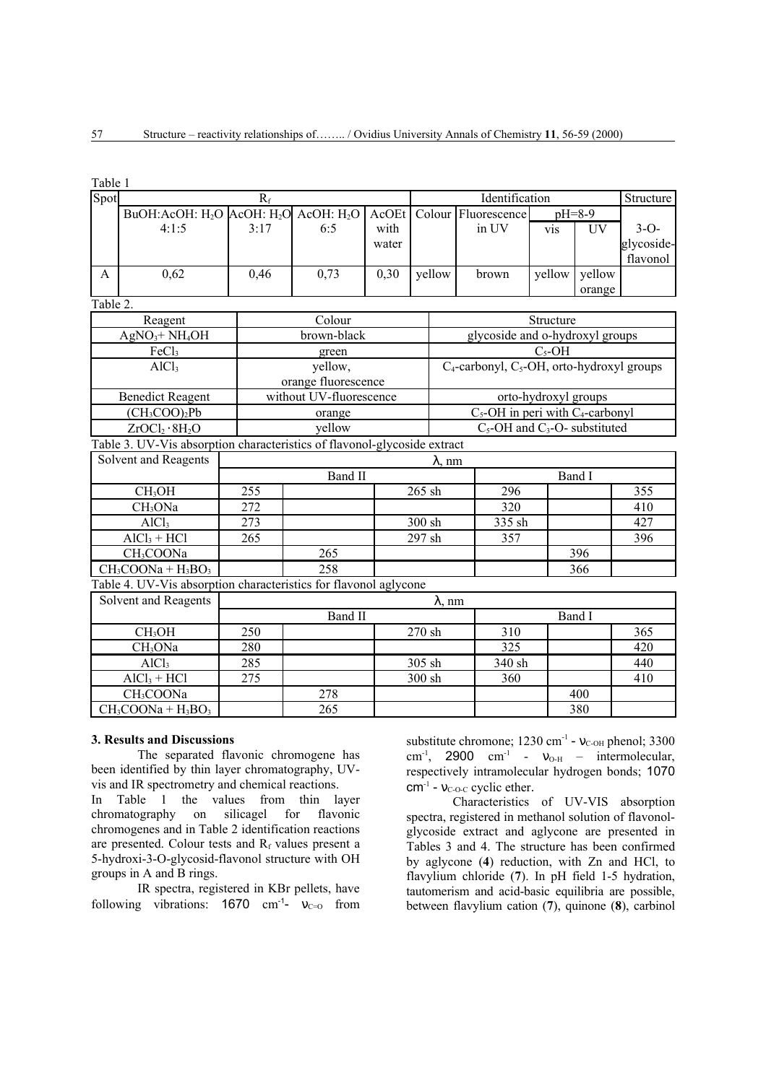| Table 1      |                                                                          |       |                          |                                 |                                                  |                      |        |           |            |  |  |  |
|--------------|--------------------------------------------------------------------------|-------|--------------------------|---------------------------------|--------------------------------------------------|----------------------|--------|-----------|------------|--|--|--|
| Spot         |                                                                          | $R_f$ |                          |                                 |                                                  | Identification       |        |           | Structure  |  |  |  |
|              | BuOH: AcOH: $H_2O$ $AcoH$ : $H_2O$ $AcoH$ : $H_2O$                       |       |                          | AcOEt                           |                                                  | Colour Fluorescence  |        | $pH=8-9$  |            |  |  |  |
|              | 4:1:5                                                                    | 3:17  | 6:5                      | with                            |                                                  | in UV                | vis    | <b>UV</b> | $3-O-$     |  |  |  |
|              |                                                                          |       |                          | water                           |                                                  |                      |        |           | glycoside- |  |  |  |
|              |                                                                          |       |                          |                                 |                                                  |                      |        |           | flavonol   |  |  |  |
| $\mathsf{A}$ | 0,62                                                                     | 0,46  | 0,73                     | 0,30                            | yellow                                           | brown                | yellow | yellow    |            |  |  |  |
|              |                                                                          |       |                          |                                 |                                                  |                      |        | orange    |            |  |  |  |
| Table 2.     |                                                                          |       |                          |                                 |                                                  |                      |        |           |            |  |  |  |
|              | Reagent                                                                  |       | Colour                   | Structure                       |                                                  |                      |        |           |            |  |  |  |
|              | $AgNO3+NH4OH$                                                            |       | brown-black              | glycoside and o-hydroxyl groups |                                                  |                      |        |           |            |  |  |  |
|              | FeCl <sub>3</sub>                                                        |       | green                    | $C_5$ -OH                       |                                                  |                      |        |           |            |  |  |  |
|              | AICl <sub>3</sub>                                                        |       | yellow,                  |                                 | $C_4$ -carbonyl, $C_5$ -OH, orto-hydroxyl groups |                      |        |           |            |  |  |  |
|              |                                                                          |       | orange fluorescence      |                                 |                                                  |                      |        |           |            |  |  |  |
|              | <b>Benedict Reagent</b>                                                  |       | without UV-fluorescence  |                                 |                                                  | orto-hydroxyl groups |        |           |            |  |  |  |
|              | (CH <sub>3</sub> COO) <sub>2</sub> Pb                                    |       | orange                   |                                 | $C_5$ -OH in peri with $C_4$ -carbonyl           |                      |        |           |            |  |  |  |
|              | ZrOCl <sub>2</sub> ·8H <sub>2</sub> O                                    |       | yellow                   |                                 | $C_5$ -OH and $C_3$ -O- substituted              |                      |        |           |            |  |  |  |
|              | Table 3. UV-Vis absorption characteristics of flavonol-glycoside extract |       |                          |                                 |                                                  |                      |        |           |            |  |  |  |
|              | Solvent and Reagents                                                     |       | $\lambda$ , nm           |                                 |                                                  |                      |        |           |            |  |  |  |
|              |                                                                          |       | Band II                  |                                 |                                                  | Band I               |        |           |            |  |  |  |
|              | CH <sub>3</sub> OH                                                       | 255   |                          |                                 | 265 sh                                           | 296                  |        |           | 355        |  |  |  |
|              | CH <sub>3</sub> ONa                                                      | 272   |                          |                                 |                                                  | 320                  |        |           | 410        |  |  |  |
|              | AICl <sub>3</sub>                                                        | 273   |                          |                                 | 300 sh                                           | 335 sh               |        |           | 427        |  |  |  |
|              | $AICl3 + HCl$                                                            | 265   |                          |                                 | 297 sh                                           | 357                  |        |           | 396        |  |  |  |
|              | CH <sub>3</sub> COONa                                                    |       | 265                      |                                 |                                                  |                      |        | 396       |            |  |  |  |
|              | $CH3COONa + H3BO3$                                                       |       | 258                      |                                 |                                                  |                      |        | 366       |            |  |  |  |
|              | Table 4. UV-Vis absorption characteristics for flavonol aglycone         |       |                          |                                 |                                                  |                      |        |           |            |  |  |  |
|              | Solvent and Reagents                                                     |       | $\lambda$ , nm           |                                 |                                                  |                      |        |           |            |  |  |  |
|              |                                                                          |       | <b>Band II</b><br>Band I |                                 |                                                  |                      |        |           |            |  |  |  |
|              | CH <sub>3</sub> OH                                                       | 250   |                          |                                 | 270 sh                                           | 310                  |        |           | 365        |  |  |  |
|              | CH <sub>3</sub> ONa                                                      | 280   |                          |                                 |                                                  | 325                  |        |           | 420        |  |  |  |
|              | AICl <sub>3</sub>                                                        | 285   |                          |                                 | 305 sh                                           | 340 sh               |        |           | 440        |  |  |  |
|              | $AICl3 + HCl$                                                            | 275   |                          |                                 | 300 sh                                           | 360                  |        |           | 410        |  |  |  |
|              | CH <sub>3</sub> COONa                                                    |       | 278                      |                                 |                                                  |                      |        | 400       |            |  |  |  |
|              | $CH3COONa + H3BO3$                                                       |       | 265                      |                                 |                                                  |                      |        | 380       |            |  |  |  |

### **3. Results and Discussions**

The separated flavonic chromogene has been identified by thin layer chromatography, UVvis and IR spectrometry and chemical reactions.

In Table 1 the values from thin layer chromatography on silicagel for flavonic chromogenes and in Table 2 identification reactions are presented. Colour tests and  $R_f$  values present a 5-hydroxi-3-O-glycosid-flavonol structure with OH groups in A and B rings.

IR spectra, registered in KBr pellets, have following vibrations:  $1670 \text{ cm}^{-1}$ -  $v_{C=0}$  from

substitute chromone;  $1230 \text{ cm}^{-1}$  -  $v_{\text{C-OH}}$  phenol; 3300 cm<sup>-1</sup>, 2900 cm<sup>-1</sup> -  $v_{O-H}$  – intermolecular, respectively intramolecular hydrogen bonds; 1070  $cm^{-1}$  -  $v_{\text{C-O-C}}$  cyclic ether.

Characteristics of UV-VIS absorption spectra, registered in methanol solution of flavonolglycoside extract and aglycone are presented in Tables 3 and 4. The structure has been confirmed by aglycone (**4**) reduction, with Zn and HCl, to flavylium chloride (**7**). In pH field 1-5 hydration, tautomerism and acid-basic equilibria are possible, between flavylium cation (**7**), quinone (**8**), carbinol

57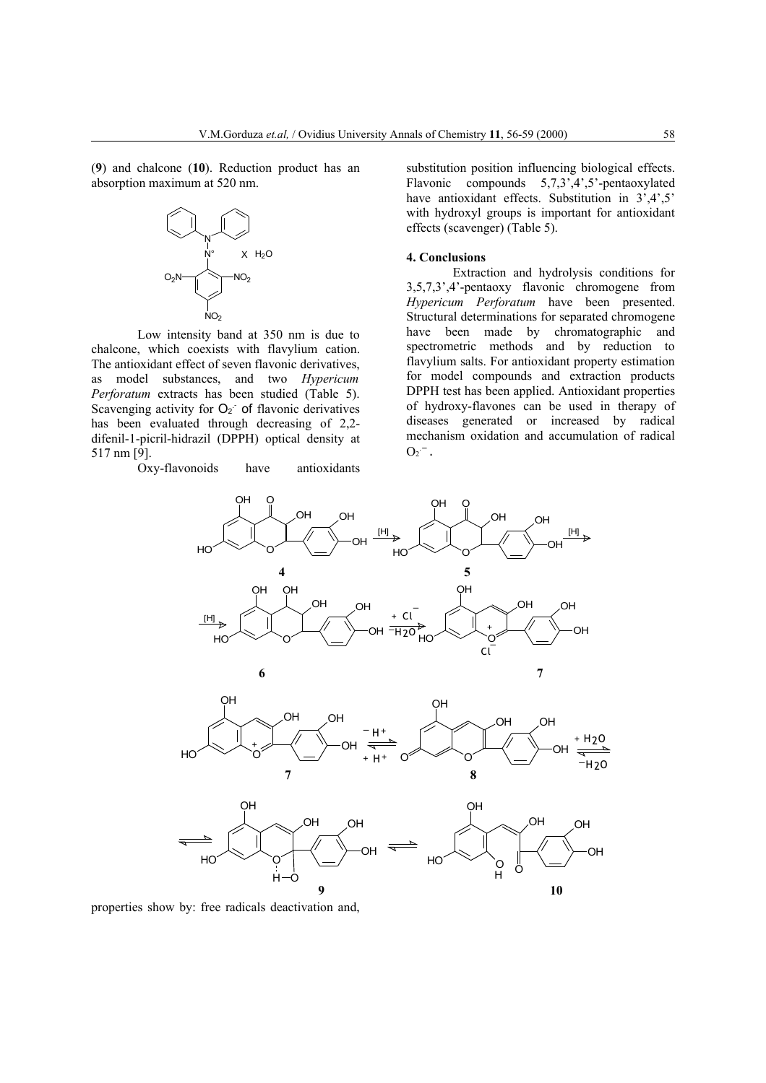(**9**) and chalcone (**10**). Reduction product has an absorption maximum at 520 nm.



Low intensity band at 350 nm is due to chalcone, which coexists with flavylium cation. The antioxidant effect of seven flavonic derivatives, as model substances, and two *Hypericum Perforatum* extracts has been studied (Table 5). Scavenging activity for  $O<sub>2</sub>$  of flavonic derivatives has been evaluated through decreasing of 2,2 difenil-1-picril-hidrazil (DPPH) optical density at 517 nm [9].

Oxy-flavonoids have antioxidants

substitution position influencing biological effects. Flavonic compounds 5,7,3',4',5'-pentaoxylated have antioxidant effects. Substitution in  $3^{\prime}, 4^{\prime}, 5^{\prime}$ with hydroxyl groups is important for antioxidant effects (scavenger) (Table 5).

## **4. Conclusions**

Extraction and hydrolysis conditions for 3,5,7,3',4'-pentaoxy flavonic chromogene from *Hypericum Perforatum* have been presented. Structural determinations for separated chromogene have been made by chromatographic and spectrometric methods and by reduction to flavylium salts. For antioxidant property estimation for model compounds and extraction products DPPH test has been applied. Antioxidant properties of hydroxy-flavones can be used in therapy of diseases generated or increased by radical mechanism oxidation and accumulation of radical  $O_2^-$  .



properties show by: free radicals deactivation and,